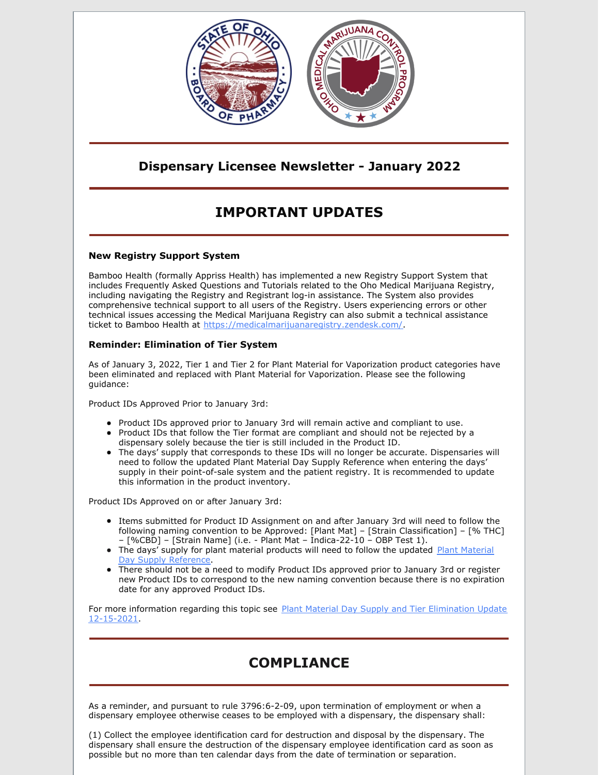

### **Dispensary Licensee Newsletter - January 2022**

# **IMPORTANT UPDATES**

#### **New Registry Support System**

Bamboo Health (formally Appriss Health) has implemented a new Registry Support System that includes Frequently Asked Questions and Tutorials related to the Oho Medical Marijuana Registry, including navigating the Registry and Registrant log-in assistance. The System also provides comprehensive technical support to all users of the Registry. Users experiencing errors or other technical issues accessing the Medical Marijuana Registry can also submit a technical assistance ticket to Bamboo Health at [https://medicalmarijuanaregistry.zendesk.com/](https://gcc02.safelinks.protection.outlook.com/?url=https%3A%2F%2Fmedicalmarijuanaregistry.zendesk.com%2F&data=04%7C01%7Cashley.hood%40pharmacy.ohio.gov%7C7db0f826b2ed482a626608d9da933705%7C50f8fcc494d84f0784eb36ed57c7c8a2%7C0%7C0%7C637781148075547111%7CUnknown%7CTWFpbGZsb3d8eyJWIjoiMC4wLjAwMDAiLCJQIjoiV2luMzIiLCJBTiI6Ik1haWwiLCJXVCI6Mn0%3D%7C3000&sdata=dfNEXdL8xwy21a6usxdVEplF6EtsHuieE0MPMSK0wnY%3D&reserved=0).

### **Reminder: Elimination of Tier System**

As of January 3, 2022, Tier 1 and Tier 2 for Plant Material for Vaporization product categories have been eliminated and replaced with Plant Material for Vaporization. Please see the following guidance:

Product IDs Approved Prior to January 3rd:

- Product IDs approved prior to January 3rd will remain active and compliant to use.
- Product IDs that follow the Tier format are compliant and should not be rejected by a dispensary solely because the tier is still included in the Product ID.
- The days' supply that corresponds to these IDs will no longer be accurate. Dispensaries will need to follow the updated Plant Material Day Supply Reference when entering the days' supply in their point-of-sale system and the patient registry. It is recommended to update this information in the product inventory.

Product IDs Approved on or after January 3rd:

- Items submitted for Product ID Assignment on and after January 3rd will need to follow the following naming convention to be Approved: [Plant Mat] – [Strain Classification] – [% THC] – [%CBD] – [Strain Name] (i.e. - Plant Mat – Indica-22-10 – OBP Test 1).
- The days' supply for plant material products will need to follow the updated Plant Material Day Supply [Reference.](https://gcc02.safelinks.protection.outlook.com/?url=https%3A%2F%2Fwww.medicalmarijuana.ohio.gov%2FDocuments%2FLicenseeResources%2FDispensary%2520Licensee%2520Resources%2FDISPENSARY%2520GENERAL%2520OPERATIONS%2FPlant%2520Material%2520Day%2520Supply%2520Reference%2520-%2520Effective%25201-3-2022.pdf&data=04%7C01%7Cashley.hood%40pharmacy.ohio.gov%7Ce127891f985d4b23a8f208d9d5fd37ff%7C50f8fcc494d84f0784eb36ed57c7c8a2%7C0%7C0%7C637776105809277442%7CUnknown%7CTWFpbGZsb3d8eyJWIjoiMC4wLjAwMDAiLCJQIjoiV2luMzIiLCJBTiI6Ik1haWwiLCJXVCI6Mn0%3D%7C3000&sdata=m9H998aT9Qz4j6UdpssiyFFqTqRiNOzQywY63PBS7jE%3D&reserved=0)
- There should not be a need to modify Product IDs approved prior to January 3rd or register new Product IDs to correspond to the new naming convention because there is no expiration date for any approved Product IDs.

For more information regarding this topic see Plant Material Day Supply and Tier Elimination Update [12-15-2021.](https://gcc02.safelinks.protection.outlook.com/?url=https%3A%2F%2Fwww.medicalmarijuana.ohio.gov%2FDocuments%2FLicenseeResources%2FDispensary%2520Licensee%2520Resources%2FDISPENSARY%2520GENERAL%2520OPERATIONS%2FPlant%2520Material%2520Day%2520Supply%2520and%2520Tier%2520Elimination%2520Update%252012-15-2021.pdf&data=04%7C01%7Cashley.hood%40pharmacy.ohio.gov%7Ce127891f985d4b23a8f208d9d5fd37ff%7C50f8fcc494d84f0784eb36ed57c7c8a2%7C0%7C0%7C637776105809277442%7CUnknown%7CTWFpbGZsb3d8eyJWIjoiMC4wLjAwMDAiLCJQIjoiV2luMzIiLCJBTiI6Ik1haWwiLCJXVCI6Mn0%3D%7C3000&sdata=%2FMJ%2FLnYisBeGp2RCaNNYDdGfjwgUcDirWR98JYnwBmA%3D&reserved=0)

## **COMPLIANCE**

As a reminder, and pursuant to rule 3796:6-2-09, upon termination of employment or when a dispensary employee otherwise ceases to be employed with a dispensary, the dispensary shall:

(1) Collect the employee identification card for destruction and disposal by the dispensary. The dispensary shall ensure the destruction of the dispensary employee identification card as soon as possible but no more than ten calendar days from the date of termination or separation.